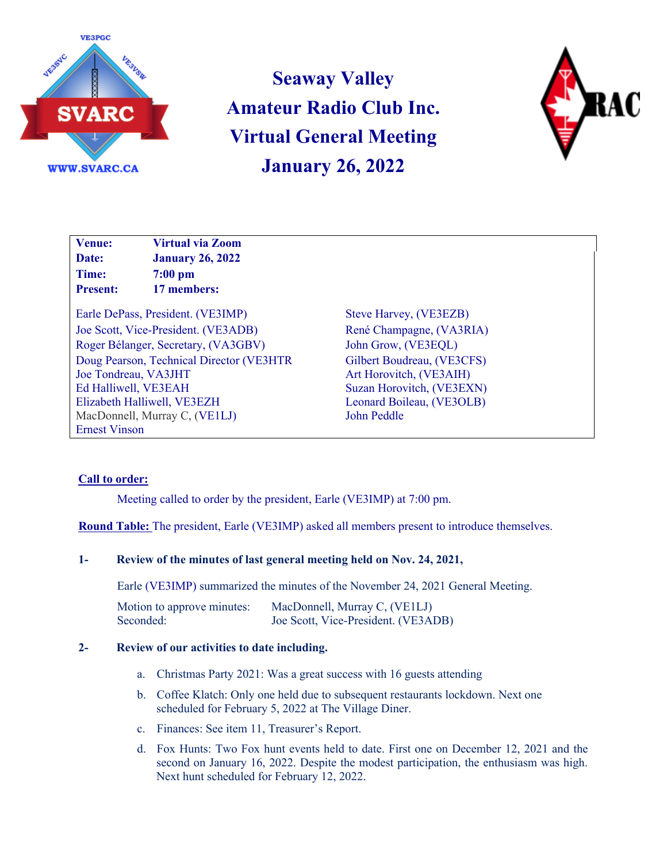

**Seaway Valley Amateur Radio Club Inc. Virtual General Meeting January 26, 2022**



**Venue: Virtual via Zoom Date: January 26, 2022 Time: 7:00 pm Present: 17 members:**

Earle DePass, President. (VE3IMP) Steve Harvey, (VE3EZB) Joe Scott, Vice-President. (VE3ADB) René Champagne, (VA3RIA) Roger Bélanger, Secretary, (VA3GBV) John Grow, (VE3EQL) Doug Pearson, Technical Director (VE3HTR Joe Tondreau, VA3JHT Ed Halliwell, VE3EAH Elizabeth Halliwell, VE3EZH MacDonnell, Murray C, (VE1LJ) Ernest Vinson

Gilbert Boudreau, (VE3CFS) Art Horovitch, (VE3AIH) Suzan Horovitch, (VE3EXN) Leonard Boileau, (VE3OLB) John Peddle

# **Call to order:**

Meeting called to order by the president, Earle (VE3IMP) at 7:00 pm.

**Round Table:** The president, Earle (VE3IMP) asked all members present to introduce themselves.

### **1- Review of the minutes of last general meeting held on Nov. 24, 2021,**

Earle (VE3IMP) summarized the minutes of the November 24, 2021 General Meeting.

Motion to approve minutes: MacDonnell, Murray C, (VE1LJ) Seconded: Joe Scott, Vice-President. (VE3ADB)

### **2- Review of our activities to date including.**

- a. Christmas Party 2021: Was a great success with 16 guests attending
- b. Coffee Klatch: Only one held due to subsequent restaurants lockdown. Next one scheduled for February 5, 2022 at The Village Diner.
- c. Finances: See item 11, Treasurer's Report.
- d. Fox Hunts: Two Fox hunt events held to date. First one on December 12, 2021 and the second on January 16, 2022. Despite the modest participation, the enthusiasm was high. Next hunt scheduled for February 12, 2022.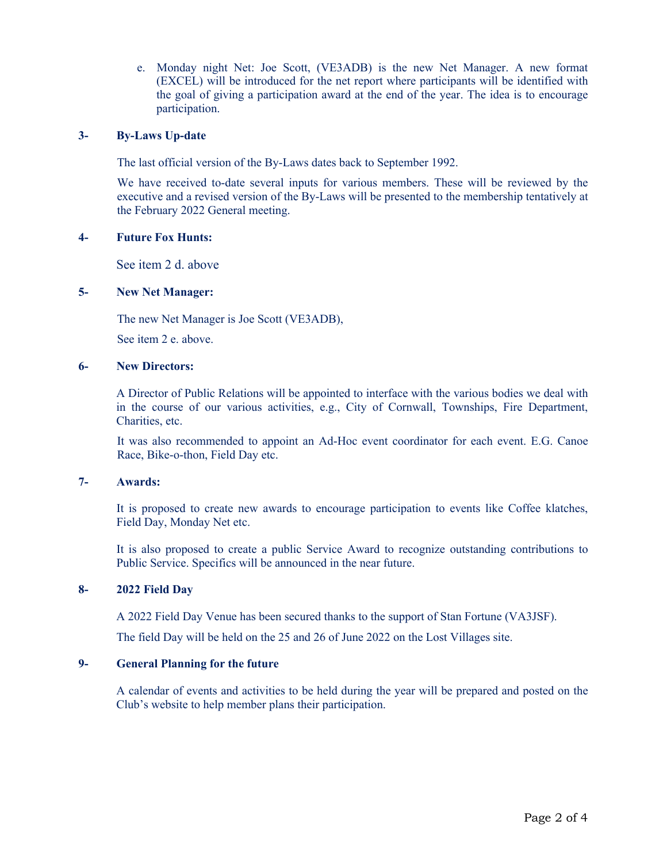e. Monday night Net: Joe Scott, (VE3ADB) is the new Net Manager. A new format (EXCEL) will be introduced for the net report where participants will be identified with the goal of giving a participation award at the end of the year. The idea is to encourage participation.

#### **3- By-Laws Up-date**

The last official version of the By-Laws dates back to September 1992.

We have received to-date several inputs for various members. These will be reviewed by the executive and a revised version of the By-Laws will be presented to the membership tentatively at the February 2022 General meeting.

#### **4- Future Fox Hunts:**

See item 2 d. above

### **5- New Net Manager:**

The new Net Manager is Joe Scott (VE3ADB),

See item 2 e. above.

#### **6- New Directors:**

A Director of Public Relations will be appointed to interface with the various bodies we deal with in the course of our various activities, e.g., City of Cornwall, Townships, Fire Department, Charities, etc.

It was also recommended to appoint an Ad-Hoc event coordinator for each event. E.G. Canoe Race, Bike-o-thon, Field Day etc.

#### **7- Awards:**

It is proposed to create new awards to encourage participation to events like Coffee klatches, Field Day, Monday Net etc.

It is also proposed to create a public Service Award to recognize outstanding contributions to Public Service. Specifics will be announced in the near future.

#### **8- 2022 Field Day**

A 2022 Field Day Venue has been secured thanks to the support of Stan Fortune (VA3JSF).

The field Day will be held on the 25 and 26 of June 2022 on the Lost Villages site.

### **9- General Planning for the future**

A calendar of events and activities to be held during the year will be prepared and posted on the Club's website to help member plans their participation.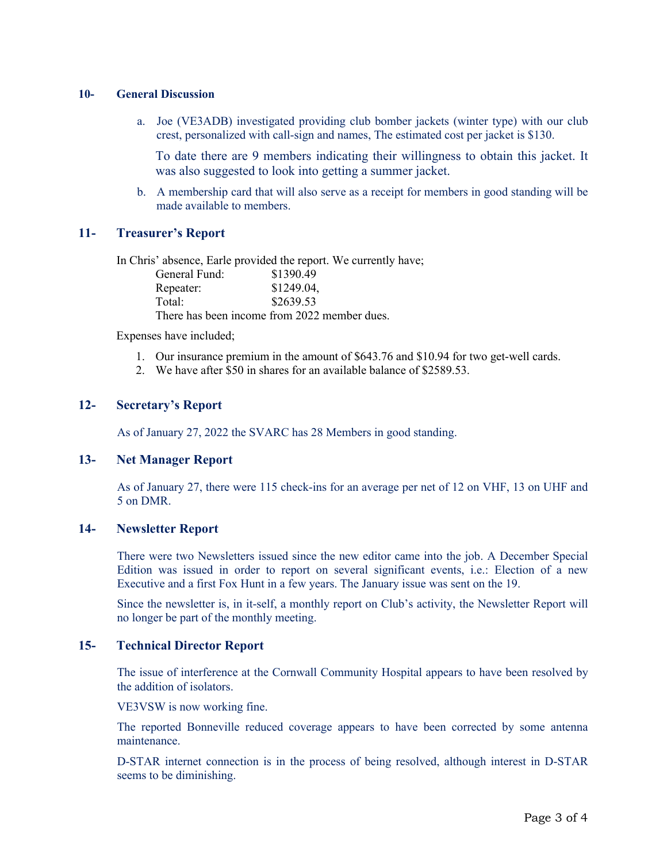#### **10- General Discussion**

a. Joe (VE3ADB) investigated providing club bomber jackets (winter type) with our club crest, personalized with call-sign and names, The estimated cost per jacket is \$130.

To date there are 9 members indicating their willingness to obtain this jacket. It was also suggested to look into getting a summer jacket.

b. A membership card that will also serve as a receipt for members in good standing will be made available to members.

## **11- Treasurer's Report**

In Chris' absence, Earle provided the report. We currently have;

| General Fund:                                | \$1390.49  |
|----------------------------------------------|------------|
| Repeater:                                    | \$1249.04, |
| Total:                                       | \$2639.53  |
| There has been income from 2022 member dues. |            |

Expenses have included;

- 1. Our insurance premium in the amount of \$643.76 and \$10.94 for two get-well cards.
- 2. We have after \$50 in shares for an available balance of \$2589.53.

## **12- Secretary's Report**

As of January 27, 2022 the SVARC has 28 Members in good standing.

### **13- Net Manager Report**

As of January 27, there were 115 check-ins for an average per net of 12 on VHF, 13 on UHF and 5 on DMR.

# **14- Newsletter Report**

There were two Newsletters issued since the new editor came into the job. A December Special Edition was issued in order to report on several significant events, i.e.: Election of a new Executive and a first Fox Hunt in a few years. The January issue was sent on the 19.

Since the newsletter is, in it-self, a monthly report on Club's activity, the Newsletter Report will no longer be part of the monthly meeting.

## **15- Technical Director Report**

The issue of interference at the Cornwall Community Hospital appears to have been resolved by the addition of isolators.

VE3VSW is now working fine.

The reported Bonneville reduced coverage appears to have been corrected by some antenna maintenance.

D-STAR internet connection is in the process of being resolved, although interest in D-STAR seems to be diminishing.